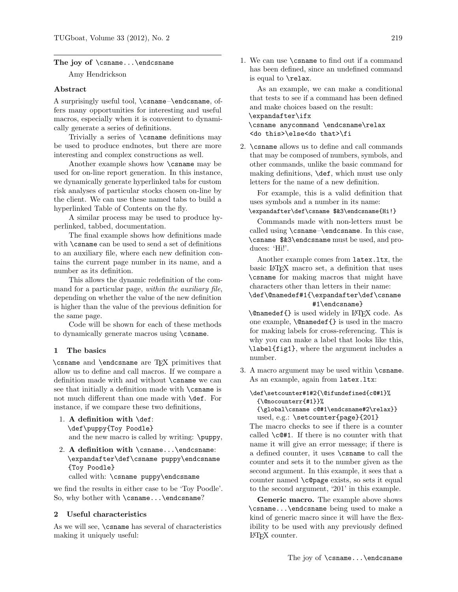#### The joy of \csname...\endcsname

Amy Hendrickson

#### Abstract

A surprisingly useful tool, \csname–\endcsname, offers many opportunities for interesting and useful macros, especially when it is convenient to dynamically generate a series of definitions.

Trivially a series of \csname definitions may be used to produce endnotes, but there are more interesting and complex constructions as well.

Another example shows how \csname may be used for on-line report generation. In this instance, we dynamically generate hyperlinked tabs for custom risk analyses of particular stocks chosen on-line by the client. We can use these named tabs to build a hyperlinked Table of Contents on the fly.

A similar process may be used to produce hyperlinked, tabbed, documentation.

The final example shows how definitions made with **\csname** can be used to send a set of definitions to an auxiliary file, where each new definition contains the current page number in its name, and a number as its definition.

This allows the dynamic redefinition of the command for a particular page, within the *auxiliary file*, depending on whether the value of the new definition is higher than the value of the previous definition for the same page.

Code will be shown for each of these methods to dynamically generate macros using \csname.

#### 1 The basics

\csname and \endcsname are TEX primitives that allow us to define and call macros. If we compare a definition made with and without \csname we can see that initially a definition made with \csname is not much different than one made with \def. For instance, if we compare these two definitions,

- 1. A definition with \def: \def\puppy{Toy Poodle} and the new macro is called by writing: \puppy,
- 2. A definition with \csname...\endcsname: \expandafter\def\csname puppy\endcsname {Toy Poodle}

called with: \csname puppy\endcsname

we find the results in either case to be 'Toy Poodle'. So, why bother with \csname...\endcsname?

#### 2 Useful characteristics

As we will see, \csname has several of characteristics making it uniquely useful:

1. We can use \csname to find out if a command has been defined, since an undefined command is equal to \relax.

As an example, we can make a conditional that tests to see if a command has been defined and make choices based on the result: \expandafter\ifx \csname anycommand \endcsname\relax <do this>\else<do that>\fi

2. \csname allows us to define and call commands that may be composed of numbers, symbols, and other commands, unlike the basic command for making definitions, \def, which must use only letters for the name of a new definition.

For example, this is a valid definition that uses symbols and a number in its name: \expandafter\def\csname \$&3\endcsname{Hi!}

Commands made with non-letters must be called using \csname–\endcsname. In this case, \csname \$&3\endcsname must be used, and produces: 'Hi!'.

Another example comes from latex.ltx, the basic LATEX macro set, a definition that uses \csname for making macros that might have characters other than letters in their name: \def\@namedef#1{\expandafter\def\csname

# #1\endcsname}

\@namedef{} is used widely in LATEX code. As one example, \@namedef{} is used in the macro for making labels for cross-referencing. This is why you can make a label that looks like this, \label{fig1}, where the argument includes a number.

3. A macro argument may be used within \csname. As an example, again from latex.ltx:

```
\def\setcounter#1#2{\@ifundefined{c@#1}%
 {\@nocounterr{#1}}%
 {\global\csname c@#1\endcsname#2\relax}}
 used, e.g.: \setcounter{page}{201}
```
The macro checks to see if there is a counter called \c@#1. If there is no counter with that name it will give an error message; if there is a defined counter, it uses \csname to call the counter and sets it to the number given as the second argument. In this example, it sees that a counter named \c@page exists, so sets it equal to the second argument, '201' in this example.

Generic macro. The example above shows \csname...\endcsname being used to make a kind of generic macro since it will have the flexibility to be used with any previously defined LATEX counter.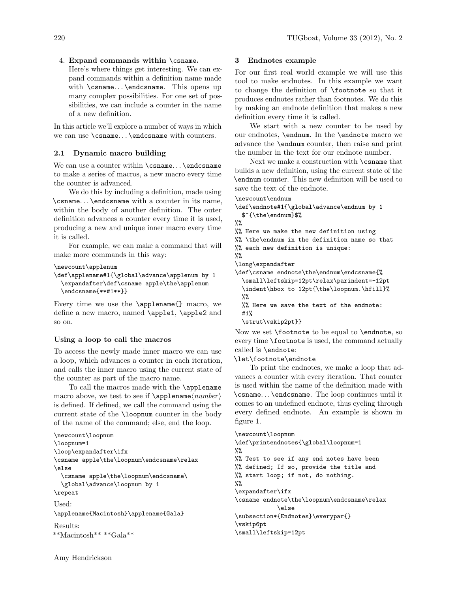## 4. Expand commands within \csname.

Here's where things get interesting. We can expand commands within a definition name made with \csname... \endcsname. This opens up many complex possibilities. For one set of possibilities, we can include a counter in the name of a new definition.

In this article we'll explore a number of ways in which we can use \csname. . . \endcsname with counters.

## 2.1 Dynamic macro building

We can use a counter within \csname... \endcsname to make a series of macros, a new macro every time the counter is advanced.

We do this by including a definition, made using \csname. . . \endcsname with a counter in its name, within the body of another definition. The outer definition advances a counter every time it is used, producing a new and unique inner macro every time it is called.

For example, we can make a command that will make more commands in this way:

\newcount\applenum

```
\def\applename#1{\global\advance\applenum by 1
 \expandafter\def\csname apple\the\applenum
  \endcsname{**#1**}}
```
Every time we use the \applename{} macro, we define a new macro, named \apple1, \apple2 and so on.

## Using a loop to call the macros

To access the newly made inner macro we can use a loop, which advances a counter in each iteration, and calls the inner macro using the current state of the counter as part of the macro name.

To call the macros made with the \applename macro above, we test to see if  $\ap{\ap{\phi}number}$ is defined. If defined, we call the command using the current state of the \loopnum counter in the body of the name of the command; else, end the loop.

```
\newcount\loopnum
\loopnum=1
\loop\expandafter\ifx
\csname apple\the\loopnum\endcsname\relax
\else
  \csname apple\the\loopnum\endcsname\
  \global\advance\loopnum by 1
\repeat
Used:
\applename{Macintosh}\applename{Gala}
Results:
**Macintosh** **Gala**
```
## Amy Hendrickson

## 3 Endnotes example

For our first real world example we will use this tool to make endnotes. In this example we want to change the definition of \footnote so that it produces endnotes rather than footnotes. We do this by making an endnote definition that makes a new definition every time it is called.

We start with a new counter to be used by our endnotes, \endnum. In the \endnote macro we advance the \endnum counter, then raise and print the number in the text for our endnote number.

Next we make a construction with \csname that builds a new definition, using the current state of the \endnum counter. This new definition will be used to save the text of the endnote.

```
\newcount\endnum
```

```
\def\endnote#1{\global\advance\endnum by 1
 $^{\the\endnum}$%
```
 $\frac{9}{2}$ 

%% Here we make the new definition using

%% \the\endnum in the definition name so that

%% each new definition is unique:

 $\%$ 

\long\expandafter

\def\csname endnote\the\endnum\endcsname{% \small\leftskip=12pt\relax\parindent=-12pt \indent\hbox to 12pt{\the\loopnum.\hfill}%  $\gamma$ 

```
%% Here we save the text of the endnote:
#1%
```

```
\strut\vskip2pt}}
```
Now we set \footnote to be equal to \endnote, so every time \footnote is used, the command actually called is \endnote:

\let\footnote\endnote

To print the endnotes, we make a loop that advances a counter with every iteration. That counter is used within the name of the definition made with \csname. . . \endcsname. The loop continues until it comes to an undefined endnote, thus cycling through every defined endnote. An example is shown in figure [1.](#page-2-0)

```
\newcount\loopnum
\def\printendnotes{\global\loopnum=1
\frac{9}{2}%% Test to see if any end notes have been
%% defined; If so, provide the title and
%% start loop; if not, do nothing.
\frac{9}{2}\expandafter\ifx
\csname endnote\the\loopnum\endcsname\relax
             \else
\subsection*{Endnotes}\everypar{}
\vskip6pt
\small\leftskip=12pt
```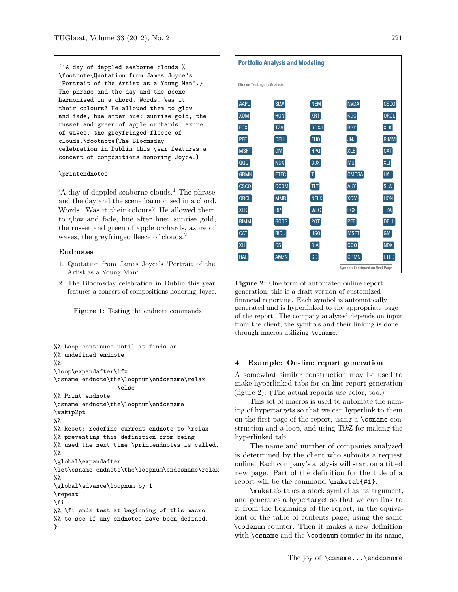''A day of dappled seaborne clouds.% \footnote{Quotation from James Joyce's 'Portrait of the Artist as a Young Man'.} The phrase and the day and the scene harmonised in a chord. Words. Was it their colours? He allowed them to glow and fade, hue after hue: sunrise gold, the russet and green of apple orchards, azure of waves, the greyfringed fleece of clouds.\footnote{The Bloomsday celebration in Dublin this year features a concert of compositions honoring Joyce.}

#### \printendnotes

"A day of dappled seaborne clouds.<sup>1</sup> The phrase and the day and the scene harmonised in a chord. Words. Was it their colours? He allowed them to glow and fade, hue after hue: sunrise gold, the russet and green of apple orchards, azure of waves, the greyfringed fleece of clouds.<sup>2</sup>

#### Endnotes

- 1. Quotation from James Joyce's 'Portrait of the Artist as a Young Man'.
- 2. The Bloomsday celebration in Dublin this year features a concert of compositions honoring Joyce.

<span id="page-2-0"></span>Figure 1: Testing the endnote commands

```
%% Loop continues until it finds an
%% undefined endnote
\frac{9}{2}\loop\expandafter\ifx
\csname endnote\the\loopnum\endcsname\relax
                  \else
%% Print endnote
\csname endnote\the\loopnum\endcsname
\vskip2pt
%%
%% Reset: redefine current endnote to \relax
%% preventing this definition from being
%% used the next time \printendnotes is called.
%%
\global\expandafter
\let\csname endnote\the\loopnum\endcsname\relax
\frac{2}{3}\global\advance\loopnum by 1
\repeat
\fi
%% \fi ends test at beginning of this macro
%% to see if any endnotes have been defined.
}
```

| <b>Portfolio Analysis and Modeling</b> |             |                 |              |             |
|----------------------------------------|-------------|-----------------|--------------|-------------|
| Click on Tab to go to Analysis         |             |                 |              |             |
| <b>AAPL</b>                            | <b>SLW</b>  | <b>NEM</b>      | <b>NVDA</b>  | <b>CSCO</b> |
| X <sub>OM</sub>                        | <b>HON</b>  | <b>XRT</b>      | <b>KGC</b>   | ORCL        |
| <b>FCX</b>                             | <b>TZA</b>  | <b>GDXJ</b>     | <b>BBY</b>   | <b>XLK</b>  |
| <b>PFE</b>                             | <b>DELL</b> | EU <sub>0</sub> | <b>JNJ</b>   | <b>RIMM</b> |
| <b>MSFT</b>                            | <b>GM</b>   | <b>HPQ</b>      | <b>XLE</b>   | CAT         |
| QQQ                                    | <b>NDX</b>  | <b>DJX</b>      | MU           | XLI         |
| <b>GRMN</b>                            | <b>ETFC</b> | T               | <b>CMCSA</b> | HAL         |
| CSCO                                   | QCOM        | TLT             | <b>AUY</b>   | SLW         |
| ORCL                                   | <b>MMR</b>  | <b>NFLX</b>     | <b>XOM</b>   | <b>HON</b>  |
| <b>XLK</b>                             | <b>BP</b>   | <b>WFC</b>      | <b>FCX</b>   | <b>TZA</b>  |
| RIMM                                   | GOOG        | POT             | <b>PFE</b>   | <b>DELL</b> |
| <b>CAT</b>                             | <b>BIDU</b> | US <sub>0</sub> | MSFT         | GM          |
| <b>XLI</b>                             | GS          | <b>DIA</b>      | QQQ          | <b>NDX</b>  |
| <b>HAL</b>                             | <b>AMZN</b> | G               | <b>GRMN</b>  | <b>ETFC</b> |
| <b>Symbols Continued on Next Page</b>  |             |                 |              |             |

<span id="page-2-1"></span>Figure 2: One form of automated online report generation; this is a draft version of customized financial reporting. Each symbol is automatically generated and is hyperlinked to the appropriate page of the report. The company analyzed depends on input from the client; the symbols and their linking is done through macros utilizing \csname.

#### 4 Example: On-line report generation

A somewhat similar construction may be used to make hyperlinked tabs for on-line report generation (figure [2\)](#page-2-1). (The actual reports use color, too.)

This set of macros is used to automate the naming of hypertargets so that we can hyperlink to them on the first page of the report, using a \csname construction and a loop, and using TikZ for making the hyperlinked tab.

The name and number of companies analyzed is determined by the client who submits a request online. Each company's analysis will start on a titled new page. Part of the definition for the title of a report will be the command \maketab{#1}.

\maketab takes a stock symbol as its argument, and generates a hypertarget so that we can link to it from the beginning of the report, in the equivalent of the table of contents page, using the same \codenum counter. Then it makes a new definition with **\csname** and the **\codenum** counter in its name,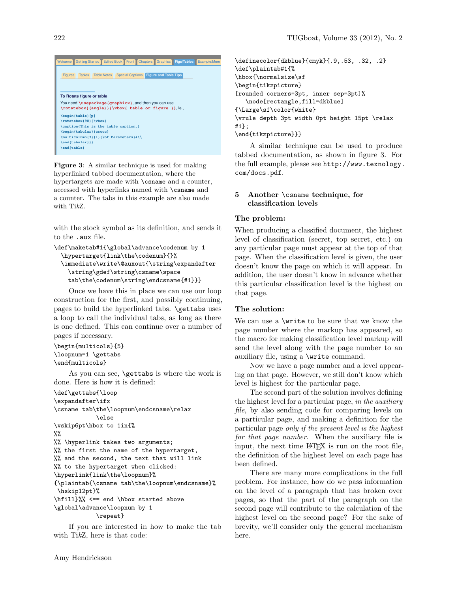#### Getting Started **Edited Book Front Chapters Graphics Figs/Tables Example Figures** Tables Table Notes Special Captions **Figure and Table Tips To Rotate figure or table** You need **\usepackage{graphicx}**, and then you can use **\rotatebox{(angle)}{\vbox{ table or figure }}**, ie., **\begin{table}[p] \rotatebox{90}{\vbox{ \caption{This is the table caption.} \begin{tabular}{crccc} \multicolumn{3}{l}{\bf Parameters}&\\ \end{tabular}}} \end{table}**

<span id="page-3-0"></span>**Figure 3:** A similar technique is used for making hyperlinked tabbed documentation, where the hypertargets are made with **\csname** and a counter, accessed with hyperlinks named with **\csname** and  $\cdot$ , a counter. The tabs in this example are also made with TikZ.

with the stock symbol as its definition, and sends it to the .aux file.

```
\def\maketab#1{\global\advance\codenum by 1
  \hypertarget{link\the\codenum}{}%
  \immediate\write\@auxout{\string\expandafter
  \string\gdef\string\csname\space
  \label{secondfig}
tab\the\codenum\string\endcsname{#1}}}
```
Once we have this in place we can use our loop construction for the first, and possibly continuing, pages to build the hyperlinked tabs. **\gettabs** uses a loop to call the individual tabs, as long as there is one defined. This can continue over a number of pages if necessary.

```
\begin{multicols}{5}
\loopnum=1 \gettabs
\end{multicols}
```
As you can see, \gettabs is where the work is done. Here is how it is defined:

```
\def\gettabs{\loop
\expandafter\ifx
\csname tab\the\loopnum\endcsname\relax
            \else
\vskip6pt\hbox to 1in{%
%%
%% \hyperlink takes two arguments;
%% the first the name of the hypertarget,
%% and the second, the text that will link
%% to the hypertarget when clicked:
\hyperlink{link\the\loopnum}%
{\plaintab{\csname tab\the\loopnum\endcsname}%
\hskip12pt}%
\hfill}%% <== end \hbox started above
\global\advance\loopnum by 1
```
\repeat}

If you are interested in how to make the tab with TikZ, here is that code:

\definecolor{dkblue}{cmyk}{.9,.53, .32, .2} \def\plaintab#1{% \hbox{\normalsize\sf \begin{tikzpicture} [rounded corners=3pt, inner sep=3pt]% \node[rectangle,fill=dkblue] {\Large\sf\color{white} \vrule depth 3pt width 0pt height 15pt \relax #1}; \end{tikzpicture}}}

A similar technique can be used to produce tabbed documentation, as shown in figure [3.](#page-3-0) For the full example, please see [http://www.texnology.](http://www.texnology.com/docs.pdf) [com/docs.pdf](http://www.texnology.com/docs.pdf).

## 5 Another \csname technique, for classification levels

#### The problem:

When producing a classified document, the highest level of classification (secret, top secret, etc.) on any particular page must appear at the top of that page. When the classification level is given, the user doesn't know the page on which it will appear. In addition, the user doesn't know in advance whether this particular classification level is the highest on that page.

#### The solution:

s one defined. This can continue over a number of page number where the markup has appeared, so We can use a \write to be sure that we know the the macro for making classification level markup will send the level along with the page number to an auxiliary file, using a \write command.

> Now we have a page number and a level appearing on that page. However, we still don't know which level is highest for the particular page.

> The second part of the solution involves defining the highest level for a particular page, in the auxiliary file, by also sending code for comparing levels on a particular page, and making a definition for the particular page only if the present level is the highest for that page number. When the auxiliary file is input, the next time LAT<sub>EX</sub> is run on the root file, the definition of the highest level on each page has been defined.

> There are many more complications in the full problem. For instance, how do we pass information on the level of a paragraph that has broken over pages, so that the part of the paragraph on the second page will contribute to the calculation of the highest level on the second page? For the sake of brevity, we'll consider only the general mechanism here.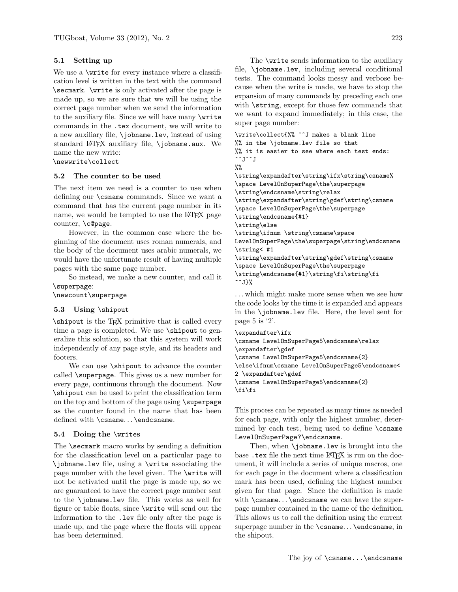## 5.1 Setting up

We use a  $\text{write}$  for every instance where a classification level is written in the text with the command \secmark. \write is only activated after the page is made up, so we are sure that we will be using the correct page number when we send the information to the auxiliary file. Since we will have many \write commands in the .tex document, we will write to a new auxiliary file, \jobname.lev, instead of using standard LATEX auxiliary file, \jobname.aux. We name the new write:

\newwrite\collect

## 5.2 The counter to be used

The next item we need is a counter to use when defining our \csname commands. Since we want a command that has the current page number in its name, we would be tempted to use the LAT<sub>EX</sub> page counter, \c@page.

However, in the common case where the beginning of the document uses roman numerals, and the body of the document uses arabic numerals, we would have the unfortunate result of having multiple pages with the same page number.

So instead, we make a new counter, and call it \superpage:

\newcount\superpage

## 5.3 Using \shipout

\shipout is the TEX primitive that is called every time a page is completed. We use  $\sin$ eralize this solution, so that this system will work independently of any page style, and its headers and footers.

We can use  $\simeq$  to advance the counter called \superpage. This gives us a new number for every page, continuous through the document. Now \shipout can be used to print the classification term on the top and bottom of the page using **\superpage** as the counter found in the name that has been defined with \csname... \endcsname.

## 5.4 Doing the \writes

The \secmark macro works by sending a definition for the classification level on a particular page to \jobname.lev file, using a \write associating the page number with the level given. The \write will not be activated until the page is made up, so we are guaranteed to have the correct page number sent to the \jobname.lev file. This works as well for figure or table floats, since \write will send out the information to the .lev file only after the page is made up, and the page where the floats will appear has been determined.

The \write sends information to the auxiliary file, \jobname.lev, including several conditional tests. The command looks messy and verbose because when the write is made, we have to stop the expansion of many commands by preceding each one with \string, except for those few commands that we want to expand immediately; in this case, the super page number:

```
\write\collect{%% ^^J makes a blank line
%% in the \jobname.lev file so that
%% it is easier to see where each test ends:
\simJ\simJ
%%
```
\string\expandafter\string\ifx\string\csname% \space LevelOnSuperPage\the\superpage \string\endcsname\string\relax \string\expandafter\string\gdef\string\csname \space LevelOnSuperPage\the\superpage \string\endcsname{#1} \string\else \string\ifnum \string\csname\space LevelOnSuperPage\the\superpage\string\endcsname \string< #1

```
\string\expandafter\string\gdef\string\csname
\space LevelOnSuperPage\the\superpage
\string\endcsname{#1}\string\fi\string\fi
\simJ}%
```
. . . which might make more sense when we see how the code looks by the time it is expanded and appears in the \jobname.lev file. Here, the level sent for page 5 is '2'.

```
\expandafter\ifx
\csname LevelOnSuperPage5\endcsname\relax
\expandafter\gdef
\csname LevelOnSuperPage5\endcsname{2}
\else\ifnum\csname LevelOnSuperPage5\endcsname<
2 \expandafter\gdef
\csname LevelOnSuperPage5\endcsname{2}
\fi\fi
```
This process can be repeated as many times as needed for each page, with only the highest number, determined by each test, being used to define \csname LevelOnSuperPage?\endcsname.

Then, when **\jobname**.lev is brought into the base .tex file the next time LAT<sub>E</sub>X is run on the document, it will include a series of unique macros, one for each page in the document where a classification mark has been used, defining the highest number given for that page. Since the definition is made with  $\cosh \lambda \cdot \theta$ .  $\theta$  we can have the superpage number contained in the name of the definition. This allows us to call the definition using the current superpage number in the \csname. . . \endcsname, in the shipout.